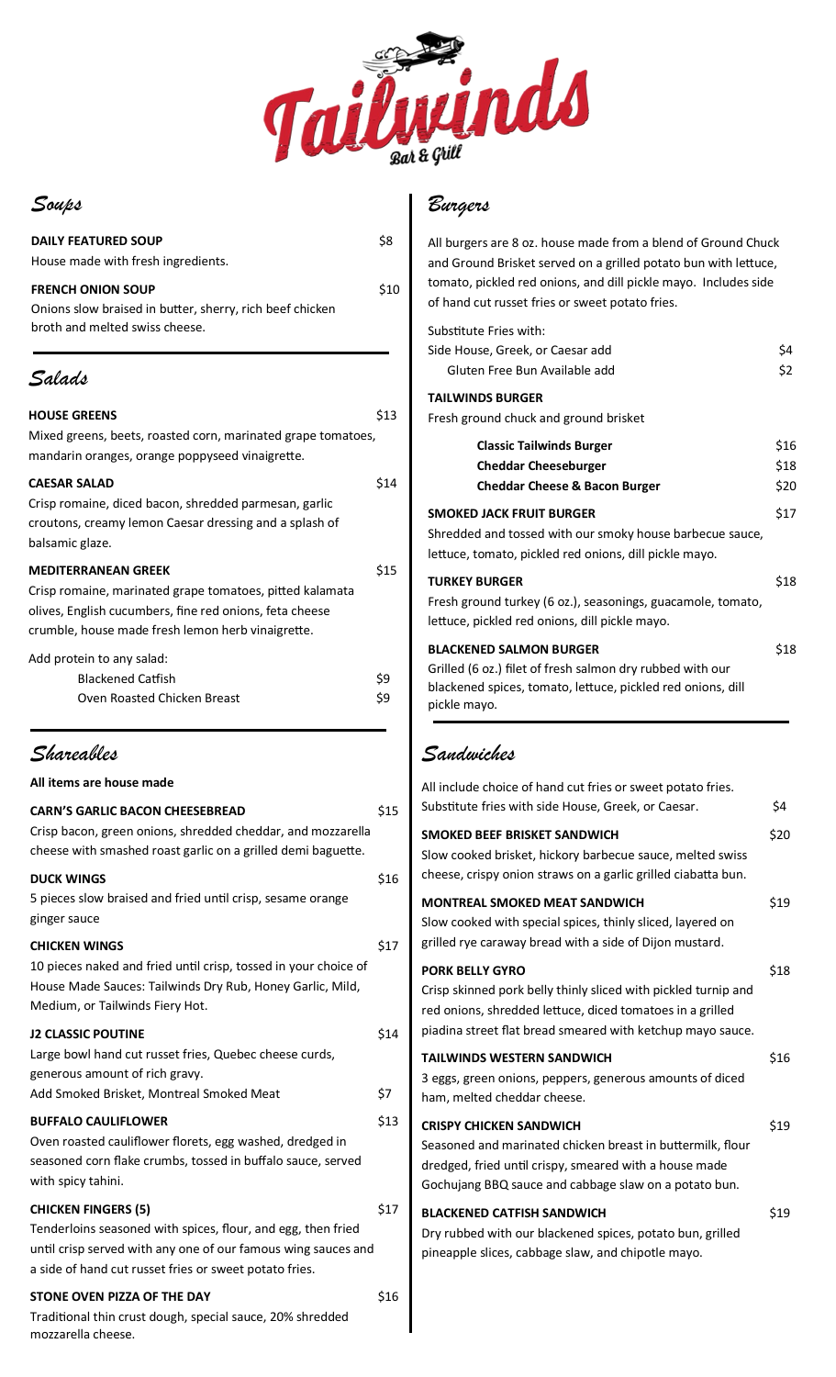

### *Soups*

| <b>DAILY FEATURED SOUP</b><br>House made with fresh ingredients.                                                                                                                                       | \$8        |
|--------------------------------------------------------------------------------------------------------------------------------------------------------------------------------------------------------|------------|
| <b>FRENCH ONION SOUP</b><br>Onions slow braised in butter, sherry, rich beef chicken<br>broth and melted swiss cheese.                                                                                 | \$10       |
| Salads                                                                                                                                                                                                 |            |
| <b>HOUSE GREENS</b><br>Mixed greens, beets, roasted corn, marinated grape tomatoes,<br>mandarin oranges, orange poppyseed vinaigrette.                                                                 | \$13       |
| <b>CAESAR SALAD</b><br>Crisp romaine, diced bacon, shredded parmesan, garlic<br>croutons, creamy lemon Caesar dressing and a splash of<br>balsamic glaze.                                              | \$14       |
| <b>MEDITERRANEAN GREEK</b><br>Crisp romaine, marinated grape tomatoes, pitted kalamata<br>olives, English cucumbers, fine red onions, feta cheese<br>crumble, house made fresh lemon herb vinaigrette. | \$15       |
| Add protein to any salad:<br><b>Blackened Catfish</b><br>Oven Roasted Chicken Breast                                                                                                                   | \$9<br>\$9 |
| Shareables                                                                                                                                                                                             |            |
| All items are house made                                                                                                                                                                               |            |

| <b>CARN'S GARLIC BACON CHEESEBREAD</b>                                                                                                                                                  | \$15 |
|-----------------------------------------------------------------------------------------------------------------------------------------------------------------------------------------|------|
| Crisp bacon, green onions, shredded cheddar, and mozzarella<br>cheese with smashed roast garlic on a grilled demi baguette.                                                             |      |
| <b>DUCK WINGS</b>                                                                                                                                                                       | \$16 |
| 5 pieces slow braised and fried until crisp, sesame orange<br>ginger sauce                                                                                                              |      |
| <b>CHICKEN WINGS</b>                                                                                                                                                                    | \$17 |
| 10 pieces naked and fried until crisp, tossed in your choice of<br>House Made Sauces: Tailwinds Dry Rub, Honey Garlic, Mild,<br>Medium, or Tailwinds Fiery Hot.                         |      |
| <b>J2 CLASSIC POUTINE</b>                                                                                                                                                               | \$14 |
| Large bowl hand cut russet fries, Quebec cheese curds,<br>generous amount of rich gravy.                                                                                                |      |
| Add Smoked Brisket, Montreal Smoked Meat                                                                                                                                                | \$7  |
| <b>BUFFALO CAULIFLOWER</b>                                                                                                                                                              | \$13 |
| Oven roasted cauliflower florets, egg washed, dredged in<br>seasoned corn flake crumbs, tossed in buffalo sauce, served<br>with spicy tahini.                                           |      |
| <b>CHICKEN FINGERS (5)</b>                                                                                                                                                              | \$17 |
| Tenderloins seasoned with spices, flour, and egg, then fried<br>until crisp served with any one of our famous wing sauces and<br>a side of hand cut russet fries or sweet potato fries. |      |
| STONE OVEN PIZZA OF THE DAY                                                                                                                                                             | \$16 |
| Traditional thin crust dough, special sauce, 20% shredded                                                                                                                               |      |

mozzarella cheese.

## *Burgers*

All burgers are 8 oz. house made from a blend of Ground Chuck and Ground Brisket served on a grilled potato bun with lettuce, tomato, pickled red onions, and dill pickle mayo. Includes side of hand cut russet fries or sweet potato fries.

#### Substitute Fries with:

| Side House, Greek, or Caesar add                            | \$4  |
|-------------------------------------------------------------|------|
| Gluten Free Bun Available add                               | \$2  |
| <b>TAILWINDS BURGER</b>                                     |      |
| Fresh ground chuck and ground brisket                       |      |
| <b>Classic Tailwinds Burger</b>                             | \$16 |
| <b>Cheddar Cheeseburger</b>                                 | \$18 |
| <b>Cheddar Cheese &amp; Bacon Burger</b>                    | \$20 |
| <b>SMOKED JACK FRUIT BURGER</b>                             | \$17 |
| Shredded and tossed with our smoky house barbecue sauce,    |      |
| lettuce, tomato, pickled red onions, dill pickle mayo.      |      |
| <b>TURKEY BURGER</b>                                        | \$18 |
| Fresh ground turkey (6 oz.), seasonings, guacamole, tomato, |      |
| lettuce, pickled red onions, dill pickle mayo.              |      |
| <b>BLACKENED SALMON BURGER</b>                              | \$18 |
| Grilled (6 oz.) filet of fresh salmon dry rubbed with our   |      |
| blackened spices, tomato, lettuce, pickled red onions, dill |      |
| pickle mayo.                                                |      |
|                                                             |      |

## *Sandwiches*

| All include choice of hand cut fries or sweet potato fries.<br>Substitute fries with side House, Greek, or Caesar.                                                                                                  | \$4  |
|---------------------------------------------------------------------------------------------------------------------------------------------------------------------------------------------------------------------|------|
| SMOKED BEEF BRISKET SANDWICH<br>Slow cooked brisket, hickory barbecue sauce, melted swiss<br>cheese, crispy onion straws on a garlic grilled ciabatta bun.                                                          | \$20 |
| <b>MONTREAL SMOKED MEAT SANDWICH</b><br>Slow cooked with special spices, thinly sliced, layered on<br>grilled rye caraway bread with a side of Dijon mustard.                                                       | \$19 |
| <b>PORK BELLY GYRO</b><br>Crisp skinned pork belly thinly sliced with pickled turnip and<br>red onions, shredded lettuce, diced tomatoes in a grilled<br>piadina street flat bread smeared with ketchup mayo sauce. | \$18 |
| <b>TAILWINDS WESTERN SANDWICH</b><br>3 eggs, green onions, peppers, generous amounts of diced<br>ham, melted cheddar cheese.                                                                                        | \$16 |
| <b>CRISPY CHICKEN SANDWICH</b><br>Seasoned and marinated chicken breast in buttermilk, flour<br>dredged, fried until crispy, smeared with a house made<br>Gochujang BBQ sauce and cabbage slaw on a potato bun.     | \$19 |
| <b>BLACKENED CATFISH SANDWICH</b><br>Dry rubbed with our blackened spices, potato bun, grilled<br>pineapple slices, cabbage slaw, and chipotle mayo.                                                                | \$19 |
|                                                                                                                                                                                                                     |      |